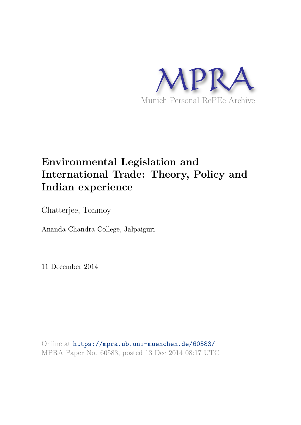

# **Environmental Legislation and International Trade: Theory, Policy and Indian experience**

Chatterjee, Tonmoy

Ananda Chandra College, Jalpaiguri

11 December 2014

Online at https://mpra.ub.uni-muenchen.de/60583/ MPRA Paper No. 60583, posted 13 Dec 2014 08:17 UTC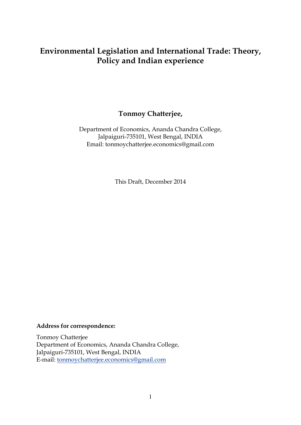# **Environmental Legislation and International Trade: Theory, Policy and Indian experience**

## **Tonmoy Chatterjee,**

Department of Economics, Ananda Chandra College, Jalpaiguri-735101, West Bengal, INDIA Email: tonmoychatterjee.economics@gmail.com

This Draft, December 2014

#### **Address for correspondence:**

Tonmoy Chatterjee Department of Economics, Ananda Chandra College, Jalpaiguri-735101, West Bengal, INDIA E-mail: [tonmoychatterjee.economics@gmail.com](mailto:tonmoychatterjee.economics@gmail.com)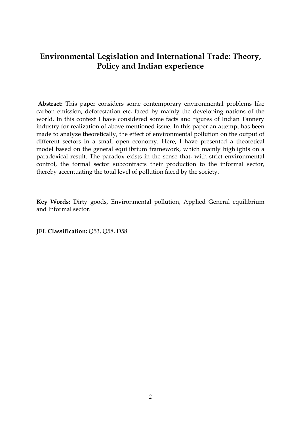## **Environmental Legislation and International Trade: Theory, Policy and Indian experience**

 **Abstract:** This paper considers some contemporary environmental problems like carbon emission, deforestation etc, faced by mainly the developing nations of the world. In this context I have considered some facts and figures of Indian Tannery industry for realization of above mentioned issue. In this paper an attempt has been made to analyze theoretically, the effect of environmental pollution on the output of different sectors in a small open economy. Here, I have presented a theoretical model based on the general equilibrium framework, which mainly highlights on a paradoxical result. The paradox exists in the sense that, with strict environmental control, the formal sector subcontracts their production to the informal sector, thereby accentuating the total level of pollution faced by the society.

**Key Words:** Dirty goods, Environmental pollution, Applied General equilibrium and Informal sector.

**JEL Classification:** Q53, Q58, D58.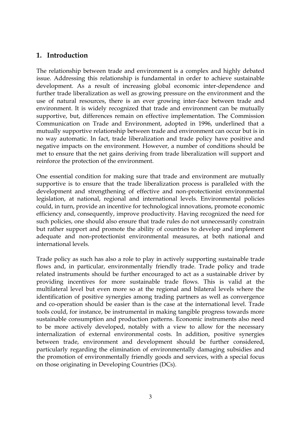### **1. Introduction**

The relationship between trade and environment is a complex and highly debated issue. Addressing this relationship is fundamental in order to achieve sustainable development. As a result of increasing global economic inter-dependence and further trade liberalization as well as growing pressure on the environment and the use of natural resources, there is an ever growing inter-face between trade and environment. It is widely recognized that trade and environment can be mutually supportive, but, differences remain on effective implementation. The Commission Communication on Trade and Environment, adopted in 1996, underlined that a mutually supportive relationship between trade and environment can occur but is in no way automatic. In fact, trade liberalization and trade policy have positive and negative impacts on the environment. However, a number of conditions should be met to ensure that the net gains deriving from trade liberalization will support and reinforce the protection of the environment.

One essential condition for making sure that trade and environment are mutually supportive is to ensure that the trade liberalization process is paralleled with the development and strengthening of effective and non-protectionist environmental legislation, at national, regional and international levels. Environmental policies could, in turn, provide an incentive for technological innovations, promote economic efficiency and, consequently, improve productivity. Having recognized the need for such policies, one should also ensure that trade rules do not unnecessarily constrain but rather support and promote the ability of countries to develop and implement adequate and non-protectionist environmental measures, at both national and international levels.

Trade policy as such has also a role to play in actively supporting sustainable trade flows and, in particular, environmentally friendly trade. Trade policy and trade related instruments should be further encouraged to act as a sustainable driver by providing incentives for more sustainable trade flows. This is valid at the multilateral level but even more so at the regional and bilateral levels where the identification of positive synergies among trading partners as well as convergence and co-operation should be easier than is the case at the international level. Trade tools could, for instance, be instrumental in making tangible progress towards more sustainable consumption and production patterns. Economic instruments also need to be more actively developed, notably with a view to allow for the necessary internalization of external environmental costs. In addition, positive synergies between trade, environment and development should be further considered, particularly regarding the elimination of environmentally damaging subsidies and the promotion of environmentally friendly goods and services, with a special focus on those originating in Developing Countries (DCs).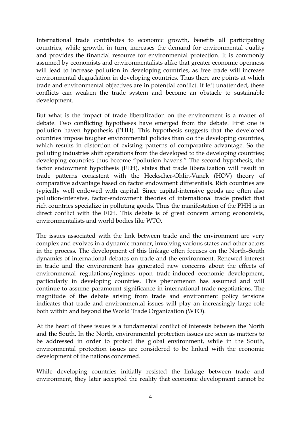International trade contributes to economic growth, benefits all participating countries, while growth, in turn, increases the demand for environmental quality and provides the financial resource for environmental protection. It is commonly assumed by economists and environmentalists alike that greater economic openness will lead to increase pollution in developing countries, as free trade will increase environmental degradation in developing countries. Thus there are points at which trade and environmental objectives are in potential conflict. If left unattended, these conflicts can weaken the trade system and become an obstacle to sustainable development.

But what is the impact of trade liberalization on the environment is a matter of debate. Two conflicting hypotheses have emerged from the debate. First one is pollution haven hypothesis (PHH). This hypothesis suggests that the developed countries impose tougher environmental policies than do the developing countries, which results in distortion of existing patterns of comparative advantage. So the polluting industries shift operations from the developed to the developing countries; developing countries thus become "pollution havens." The second hypothesis, the factor endowment hypothesis (FEH), states that trade liberalization will result in trade patterns consistent with the Heckscher-Ohlin-Vanek (HOV) theory of comparative advantage based on factor endowment differentials. Rich countries are typically well endowed with capital. Since capital-intensive goods are often also pollution-intensive, factor-endowment theories of international trade predict that rich countries specialize in polluting goods. Thus the manifestation of the PHH is in direct conflict with the FEH. This debate is of great concern among economists, environmentalists and world bodies like WTO.

The issues associated with the link between trade and the environment are very complex and evolves in a dynamic manner, involving various states and other actors in the process. The development of this linkage often focuses on the North–South dynamics of international debates on trade and the environment. Renewed interest in trade and the environment has generated new concerns about the effects of environmental regulations/regimes upon trade-induced economic development, particularly in developing countries. This phenomenon has assumed and will continue to assume paramount significance in international trade negotiations. The magnitude of the debate arising from trade and environment policy tensions indicates that trade and environmental issues will play an increasingly large role both within and beyond the World Trade Organization (WTO).

At the heart of these issues is a fundamental conflict of interests between the North and the South. In the North, environmental protection issues are seen as matters to be addressed in order to protect the global environment, while in the South, environmental protection issues are considered to be linked with the economic development of the nations concerned.

While developing countries initially resisted the linkage between trade and environment, they later accepted the reality that economic development cannot be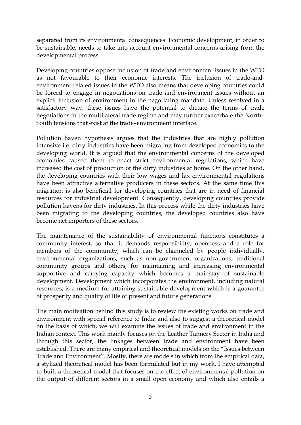separated from its environmental consequences. Economic development, in order to be sustainable, needs to take into account environmental concerns arising from the developmental process.

Developing countries oppose inclusion of trade and environment issues in the WTO as not favourable to their economic interests. The inclusion of trade-andenvironment-related issues in the WTO also means that developing countries could be forced to engage in negotiations on trade and environment issues without an explicit inclusion of environment in the negotiating mandate. Unless resolved in a satisfactory way, these issues have the potential to dictate the terms of trade negotiations in the multilateral trade regime and may further exacerbate the North– South tensions that exist at the trade–environment interface.

Pollution haven hypothesis argues that the industries that are highly pollution intensive i.e. dirty industries have been migrating from developed economies to the developing world. It is argued that the environmental concerns of the developed economies caused them to enact strict environmental regulations, which have increased the cost of production of the dirty industries at home. On the other hand, the developing countries with their low wages and lax environmental regulations have been attractive alternative producers in these sectors. At the same time this migration is also beneficial for developing countries that are in need of financial resources for industrial development. Consequently, developing countries provide pollution havens for dirty industries. In this process while the dirty industries have been migrating to the developing countries, the developed countries also have become net importers of these sectors.

The maintenance of the sustainability of environmental functions constitutes a community interest, so that it demands responsibility, openness and a role for members of the community, which can be channeled by people individually, environmental organizations, such as non-government organizations, traditional community groups and others, for maintaining and increasing environmental supportive and carrying capacity which becomes a mainstay of sustainable development. Development which incorporates the environment, including natural resources, is a medium for attaining sustainable development which is a guarantee of prosperity and quality of life of present and future generations.

The main motivation behind this study is to review the existing works on trade and environment with special reference to India and also to suggest a theoretical model on the basis of which, we will examine the issues of trade and environment in the Indian context. This work mainly focuses on the Leather Tannery Sector in India and through this sector; the linkages between trade and environment have been established. There are many empirical and theoretical models on the "Issues between Trade and Environment". Mostly, there are models in which from the empirical data, a stylized theoretical model has been formulated but in my work, I have attempted to built a theoretical model that focuses on the effect of environmental pollution on the output of different sectors in a small open economy and which also entails a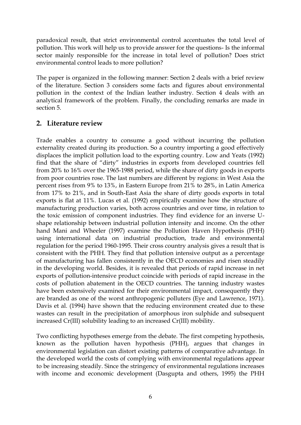paradoxical result, that strict environmental control accentuates the total level of pollution. This work will help us to provide answer for the questions- Is the informal sector mainly responsible for the increase in total level of pollution? Does strict environmental control leads to more pollution?

The paper is organized in the following manner: Section 2 deals with a brief review of the literature. Section 3 considers some facts and figures about environmental pollution in the context of the Indian leather industry. Section 4 deals with an analytical framework of the problem. Finally, the concluding remarks are made in section 5.

## **2. Literature review**

Trade enables a country to consume a good without incurring the pollution externality created during its production. So a country importing a good effectively displaces the implicit pollution load to the exporting country. Low and Yeats (1992) find that the share of "dirty" industries in exports from developed countries fell from 20% to 16% over the 1965-1988 period, while the share of dirty goods in exports from poor countries rose. The last numbers are different by regions: in West Asia the percent rises from 9% to 13%, in Eastern Europe from 21% to 28%, in Latin America from 17% to 21%, and in South-East Asia the share of dirty goods exports in total exports is flat at 11%. Lucas et al. (1992) empirically examine how the structure of manufacturing production varies, both across countries and over time, in relation to the toxic emission of component industries. They find evidence for an inverse Ushape relationship between industrial pollution intensity and income. On the other hand Mani and Wheeler (1997) examine the Pollution Haven Hypothesis (PHH) using international data on industrial production, trade and environmental regulation for the period 1960-1995. Their cross country analysis gives a result that is consistent with the PHH. They find that pollution intensive output as a percentage of manufacturing has fallen consistently in the OECD economies and risen steadily in the developing world. Besides, it is revealed that periods of rapid increase in net exports of pollution-intensive product coincide with periods of rapid increase in the costs of pollution abatement in the OECD countries. The tanning industry wastes have been extensively examined for their environmental impact, consequently they are branded as one of the worst anthropogenic polluters (Eye and Lawrence, 1971). Davis et al. (1994) have shown that the reducing environment created due to these wastes can result in the precipitation of amorphous iron sulphide and subsequent increased Cr(III) solubility leading to an increased Cr(III) mobility.

Two conflicting hypotheses emerge from the debate. The first competing hypothesis, known as the pollution haven hypothesis (PHH), argues that changes in environmental legislation can distort existing patterns of comparative advantage. In the developed world the costs of complying with environmental regulations appear to be increasing steadily. Since the stringency of environmental regulations increases with income and economic development (Dasgupta and others, 1995) the PHH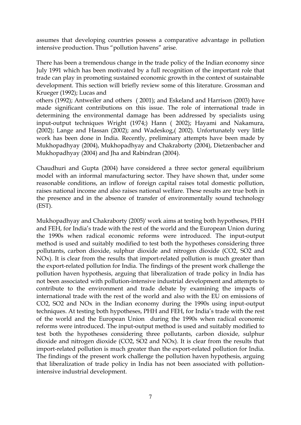assumes that developing countries possess a comparative advantage in pollution intensive production. Thus "pollution havens" arise.

There has been a tremendous change in the trade policy of the Indian economy since July 1991 which has been motivated by a full recognition of the important role that trade can play in promoting sustained economic growth in the context of sustainable development. This section will briefly review some of this literature. Grossman and Krueger (1992); Lucas and

others (1992); Antweiler and others ( 2001); and Eskeland and Harrison (2003) have made significant contributions on this issue. The role of international trade in determining the environmental damage has been addressed by specialists using input-output techniques Wright (1974;) Hann ( 2002); Hayami and Nakamura, (2002); Lange and Hassan (2002); and Wadeskog,( 2002). Unfortunately very little work has been done in India. Recently, preliminary attempts have been made by Mukhopadhyay (2004), Mukhopadhyay and Chakraborty (2004), Dietzenbacher and Mukhopadhyay (2004) and Jha and Rabindran (2004).

Chaudhuri and Gupta (2004) have considered a three sector general equilibrium model with an informal manufacturing sector. They have shown that, under some reasonable conditions, an inflow of foreign capital raises total domestic pollution, raises national income and also raises national welfare. These results are true both in the presence and in the absence of transfer of environmentally sound technology (EST).

Mukhopadhyay and Chakraborty (2005)' work aims at testing both hypotheses, PHH and FEH, for India's trade with the rest of the world and the European Union during the 1990s when radical economic reforms were introduced. The input-output method is used and suitably modified to test both the hypotheses considering three pollutants, carbon dioxide, sulphur dioxide and nitrogen dioxide (CO2, SO2 and NOx). It is clear from the results that import-related pollution is much greater than the export-related pollution for India. The findings of the present work challenge the pollution haven hypothesis, arguing that liberalization of trade policy in India has not been associated with pollution-intensive industrial development and attempts to contribute to the environment and trade debate by examining the impacts of international trade with the rest of the world and also with the EU on emissions of CO2, SO2 and NOx in the Indian economy during the 1990s using input-output techniques. At testing both hypotheses, PHH and FEH, for India's trade with the rest of the world and the European Union during the 1990s when radical economic reforms were introduced. The input-output method is used and suitably modified to test both the hypotheses considering three pollutants, carbon dioxide, sulphur dioxide and nitrogen dioxide (CO2, SO2 and NOx). It is clear from the results that import-related pollution is much greater than the export-related pollution for India. The findings of the present work challenge the pollution haven hypothesis, arguing that liberalization of trade policy in India has not been associated with pollutionintensive industrial development.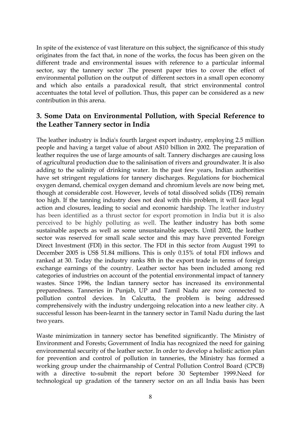In spite of the existence of vast literature on this subject, the significance of this study originates from the fact that, in none of the works, the focus has been given on the different trade and environmental issues with reference to a particular informal sector, say the tannery sector .The present paper tries to cover the effect of environmental pollution on the output of different sectors in a small open economy and which also entails a paradoxical result, that strict environmental control accentuates the total level of pollution. Thus, this paper can be considered as a new contribution in this arena.

## **3. Some Data on Environmental Pollution, with Special Reference to the Leather Tannery sector in India**

The leather industry is India's fourth largest export industry, employing 2.5 million people and having a target value of about A\$10 billion in 2002. The preparation of leather requires the use of large amounts of salt. Tannery discharges are causing loss of agricultural production due to the salinisation of rivers and groundwater. It is also adding to the salinity of drinking water. In the past few years, Indian authorities have set stringent regulations for tannery discharges. Regulations for biochemical oxygen demand, chemical oxygen demand and chromium levels are now being met, though at considerable cost. However, levels of total dissolved solids (TDS) remain too high. If the tanning industry does not deal with this problem, it will face legal action and closures, leading to social and economic hardship. The leather industry has been identified as a thrust sector for export promotion in India but it is also perceived to be highly polluting as well. The leather industry has both some sustainable aspects as well as some unsustainable aspects. Until 2002, the leather sector was reserved for small scale sector and this may have prevented Foreign Direct Investment (FDI) in this sector. The FDI in this sector from August 1991 to December 2005 is US\$ 51.84 millions. This is only 0.15% of total FDI inflows and ranked at 30. Today the industry ranks 8th in the export trade in terms of foreign exchange earnings of the country. Leather sector has been included among red categories of industries on account of the potential environmental impact of tannery wastes. Since 1996, the Indian tannery sector has increased its environmental preparedness. Tanneries in Punjab, UP and Tamil Nadu are now connected to pollution control devices. In Calcutta, the problem is being addressed comprehensively with the industry undergoing relocation into a new leather city. A successful lesson has been-learnt in the tannery sector in Tamil Nadu during the last two years.

Waste minimization in tannery sector has benefited significantly. The Ministry of Environment and Forests; Government of India has recognized the need for gaining environmental security of the leather sector. In order to develop a holistic action plan for prevention and control of pollution in tanneries, the Ministry has formed a working group under the chairmanship of Central Pollution Control Board (CPCB) with a directive to-submit the report before 30 September 1999.Need for technological up gradation of the tannery sector on an all India basis has been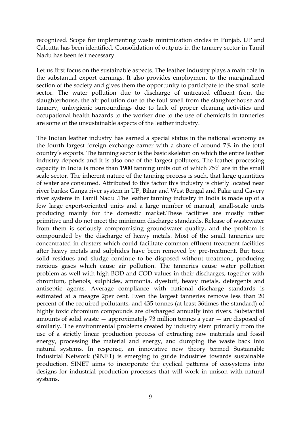recognized. Scope for implementing waste minimization circles in Punjab, UP and Calcutta has been identified. Consolidation of outputs in the tannery sector in Tamil Nadu has been felt necessary.

Let us first focus on the sustainable aspects. The leather industry plays a main role in the substantial export earnings. It also provides employment to the marginalized section of the society and gives them the opportunity to participate to the small scale sector. The water pollution due to discharge of untreated effluent from the slaughterhouse, the air pollution due to the foul smell from the slaughterhouse and tannery, unhygienic surroundings due to lack of proper cleaning activities and occupational health hazards to the worker due to the use of chemicals in tanneries are some of the unsustainable aspects of the leather industry.

The Indian leather industry has earned a special status in the national economy as the fourth largest foreign exchange earner with a share of around 7% in the total country's exports. The tanning sector is the basic skeleton on which the entire leather industry depends and it is also one of the largest polluters. The leather processing capacity in India is more than 1900 tanning units out of which 75% are in the small scale sector. The inherent nature of the tanning process is such, that large quantities of water are consumed. Attributed to this factor this industry is chiefly located near river banks: Ganga river system in UP, Bihar and West Bengal and Palar and Cavery river systems in Tamil Nadu .The leather tanning industry in India is made up of a few large export-oriented units and a large number of manual, small-scale units producing mainly for the domestic market.These facilities are mostly rather primitive and do not meet the minimum discharge standards. Release of wastewater from them is seriously compromising groundwater quality, and the problem is compounded by the discharge of heavy metals. Most of the small tanneries are concentrated in clusters which could facilitate common effluent treatment facilities after heavy metals and sulphides have been removed by pre-treatment. But toxic solid residues and sludge continue to be disposed without treatment, producing noxious gases which cause air pollution. The tanneries cause water pollution problem as well with high BOD and COD values in their discharges, together with chromium, phenols, sulphides, ammonia, dyestuff, heavy metals, detergents and antiseptic agents. Average compliance with national discharge standards is estimated at a meagre 2per cent. Even the largest tanneries remove less than 20 percent of the required pollutants, and 435 tonnes (at least 36times the standard) of highly toxic chromium compounds are discharged annually into rivers. Substantial amounts of solid waste — approximately 73 million tonnes a year — are disposed of similarly**.** The environmental problems created by industry stem primarily from the use of a strictly linear production process of extracting raw materials and fossil energy, processing the material and energy, and dumping the waste back into natural systems. In response, an innovative new theory termed Sustainable Industrial Network (SINET) is emerging to guide industries towards sustainable production. SINET aims to incorporate the cyclical patterns of ecosystems into designs for industrial production processes that will work in unison with natural systems.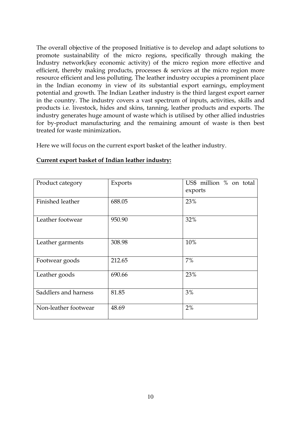The overall objective of the proposed Initiative is to develop and adapt solutions to promote sustainability of the micro regions, specifically through making the Industry network(key economic activity) of the micro region more effective and efficient, thereby making products, processes & services at the micro region more resource efficient and less polluting. The leather industry occupies a prominent place in the Indian economy in view of its substantial export earnings, employment potential and growth. The Indian Leather industry is the third largest export earner in the country. The industry covers a vast spectrum of inputs, activities, skills and products i.e. livestock, hides and skins, tanning, leather products and exports. The industry generates huge amount of waste which is utilised by other allied industries for by-product manufacturing and the remaining amount of waste is then best treated for waste minimization**.** 

Here we will focus on the current export basket of the leather industry.

| Product category     | Exports | US\$ million % on total<br>exports |
|----------------------|---------|------------------------------------|
| Finished leather     | 688.05  | 23%                                |
| Leather footwear     | 950.90  | 32%                                |
| Leather garments     | 308.98  | 10%                                |
| Footwear goods       | 212.65  | 7%                                 |
| Leather goods        | 690.66  | 23%                                |
| Saddlers and harness | 81.85   | 3%                                 |
| Non-leather footwear | 48.69   | 2%                                 |

#### **Current export basket of Indian leather industry:**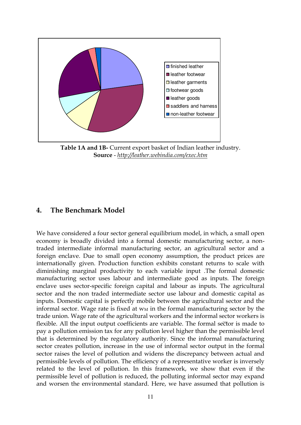

**Table 1A and 1B-** Current export basket of Indian leather industry. **Source** - *<http://leather.webindia.com/exec.htm>*

#### **4. The Benchmark Model**

We have considered a four sector general equilibrium model, in which, a small open economy is broadly divided into a formal domestic manufacturing sector, a nontraded intermediate informal manufacturing sector, an agricultural sector and a foreign enclave. Due to small open economy assumption, the product prices are internationally given. Production function exhibits constant returns to scale with diminishing marginal productivity to each variable input .The formal domestic manufacturing sector uses labour and intermediate good as inputs. The foreign enclave uses sector-specific foreign capital and labour as inputs. The agricultural sector and the non traded intermediate sector use labour and domestic capital as inputs. Domestic capital is perfectly mobile between the agricultural sector and the informal sector. Wage rate is fixed at  $w_M$  in the formal manufacturing sector by the trade union. Wage rate of the agricultural workers and the informal sector workers is flexible. All the input output coefficients are variable. The formal sector is made to pay a pollution emission tax for any pollution level higher than the permissible level that is determined by the regulatory authority. Since the informal manufacturing sector creates pollution, increase in the use of informal sector output in the formal sector raises the level of pollution and widens the discrepancy between actual and permissible levels of pollution. The efficiency of a representative worker is inversely related to the level of pollution. In this framework, we show that even if the permissible level of pollution is reduced, the polluting informal sector may expand and worsen the environmental standard. Here, we have assumed that pollution is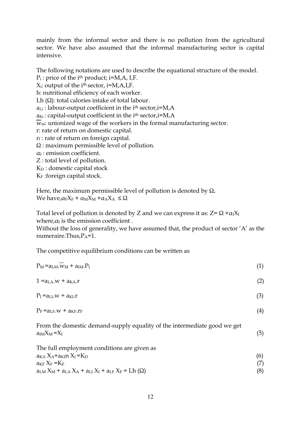mainly from the informal sector and there is no pollution from the agricultural sector. We have also assumed that the informal manufacturing sector is capital intensive.

The following notations are used to describe the equational structure of the model. P<sub>i</sub>: price of the i<sup>th</sup> product; i=M,A, I,F.  $X_i$ : output of the i<sup>th</sup> sector, i=M,A,I,F. h: nutritional efficiency of each worker. Lh (Ω): total calories intake of total labour.  $a_{Li}$ : labour-output coefficient in the i<sup>th</sup> sector, i=M, A  $a_{Ki}$ : capital-output coefficient in the i<sup>th</sup> sector,  $i=M,A$  $\overline{w}_m$ : unionized wage of the workers in the formal manufacturing sector. r: rate of return on domestic capital.  $r_f$  : rate of return on foreign capital. Ω : maximum permissible level of pollution. αI : emission coefficient. Z : total level of pollution. KD : domestic capital stock

 $K_F$ : foreign capital stock.

Here, the maximum permissible level of pollution is denoted by Ω**.**  We have,  $\alpha_F X_F + \alpha_M X_M + \alpha_A X_A \leq \Omega$ 

Total level of pollution is denoted by Z and we can express it as:  $Z = \Omega + \alpha_1 X_I$ where, $a_{I}$  is the emission coefficient.

Without the loss of generality, we have assumed that, the product of sector 'A' as the numeraire.Thus, $P_A=1$ .

The competitive equilibrium conditions can be written as

| $P_M = a_{LM} \cdot w_M + a_{IM} \cdot P_I$                                                                | (1) |
|------------------------------------------------------------------------------------------------------------|-----|
| $1 = aLA.w + aKA.r$                                                                                        | (2) |
| $P_I = a_{LI} \cdot w + a_{KI} \cdot r$                                                                    | (3) |
| $P_F = a_{LF} \cdot w + a_{KF} \cdot r_F$                                                                  | (4) |
| From the domestic demand-supply equality of the intermediate good we get<br>$a_{IM}X_M = X_I$              | (5) |
| The full employment conditions are given as<br>$a_{KA} X_A + a_{KI} n X_I = K_D$<br>$a_{KF}$ $X_F$ = $K_F$ | (6) |
| $a_{LM} X_M + a_{LA} X_A + a_{LI} X_I + a_{LF} X_F = Lh(\Omega)$                                           | (8) |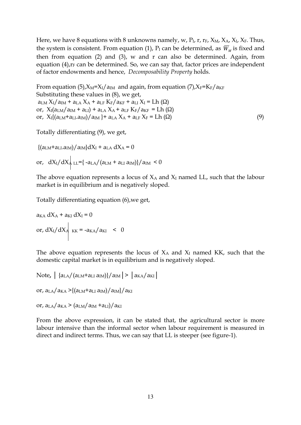Here, we have 8 equations with 8 unknowns namely, w,  $P_I$ ,  $r$ ,  $r_F$ ,  $X_M$ ,  $X_A$ ,  $X_I$ ,  $X_F$ . Thus, the system is consistent. From equation (1),  $P_I$  can be determined, as  $\overline{W}_M$  is fixed and then from equation (2) and (3), w and r can also be determined. Again, from equation  $(4)$ , $r_F$  can be determined. So, we can say that, factor prices are independent of factor endowments and hence, *Decomposability Property* holds.

From equation (5), $X_M = X_I/a_M$  and again, from equation (7), $X_F = K_F/a_{KF}$ Substituting these values in (8), we get,  $a_{LM} X_I/a_{IM} + a_{LA} X_A + a_{LF} K_F/a_{KF} + a_{LI} X_I = Lh (\Omega)$ or,  $X_{I}(a_{LM}/a_{IM} + a_{LI}) + a_{LA}X_{A} + a_{LF}K_{F}/a_{KF} = Lh(\Omega)$ or,  $X_{I}\{(a_{LM}+a_{LI}.a_{IM})/a_{IM}\}+a_{LA}X_{A}+a_{LF}X_{F}=Lh(\Omega)$  (9)

Totally differentiating (9), we get,

 ${(a_{LM} + a_{LI}.a_{IM})/a_{IM}}dX_I + a_{LA}dX_A = 0$ or,  $dX_I/dX_A$  LL={ -a<sub>LA</sub>/(a<sub>LM</sub> + a<sub>LI</sub> a<sub>IM</sub>)}/a<sub>IM</sub> < 0

The above equation represents a locus of  $X_A$  and  $X_I$  named LL, such that the labour market is in equilibrium and is negatively sloped.

Totally differentiating equation (6),we get,

 $a_{KA} dX_A + a_{KI} dX_I = 0$ or,  $dX_I/dX_A$   $_{KK}$  = -a<sub>KA</sub>/a<sub>KI</sub> < 0

The above equation represents the locus of  $X_A$  and  $X_I$  named KK, such that the domestic capital market is in equilibrium and is negatively sloped.

Note,  $|$  {a<sub>LA</sub>/(a<sub>LM</sub>+a<sub>LI</sub> a<sub>IM</sub>)}/a<sub>IM</sub>  $|$  >  $|$  a<sub>KA</sub>/a<sub>KI</sub>  $|$ or,  $a_{LA}/a_{KA}$  >{ $(a_{LM} + a_{LI} a_{IM})/a_{IM}$ }/ $a_{KI}$ 

```
or, a_{LA}/a_{KA} > (a_{LM}/a_{IM} + a_{LI})/a_{KI}
```
From the above expression, it can be stated that, the agricultural sector is more labour intensive than the informal sector when labour requirement is measured in direct and indirect terms. Thus, we can say that LL is steeper (see figure-1).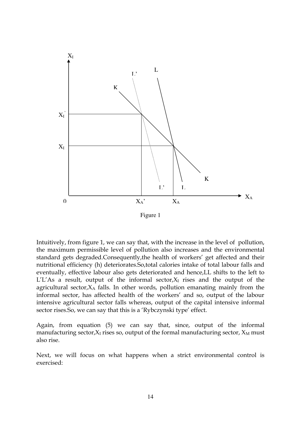

Figure 1

Intuitively, from figure 1, we can say that, with the increase in the level of pollution, the maximum permissible level of pollution also increases and the environmental standard gets degraded.Consequently,the health of workers' get affected and their nutritional efficiency (h) deteriorates.So,total calories intake of total labour falls and eventually, effective labour also gets deteriorated and hence,LL shifts to the left to  $L'L'As$  a result, output of the informal sector, $X<sub>I</sub>$  rises and the output of the agricultural sector, $X_A$  falls. In other words, pollution emanating mainly from the informal sector, has affected health of the workers' and so, output of the labour intensive agricultural sector falls whereas, output of the capital intensive informal sector rises. So, we can say that this is a 'Rybczynski type' effect.

Again, from equation (5) we can say that, since, output of the informal manufacturing sector, $X_I$  rises so, output of the formal manufacturing sector,  $X_M$  must also rise.

Next, we will focus on what happens when a strict environmental control is exercised: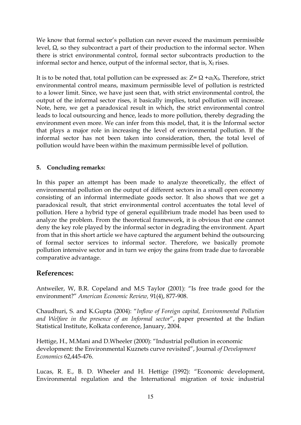We know that formal sector's pollution can never exceed the maximum permissible level, Ω, so they subcontract a part of their production to the informal sector. When there is strict environmental control, formal sector subcontracts production to the informal sector and hence, output of the informal sector, that is,  $X_I$  rises.

It is to be noted that, total pollution can be expressed as:  $Z = \Omega + \alpha_1 X_I$ . Therefore, strict environmental control means, maximum permissible level of pollution is restricted to a lower limit. Since, we have just seen that, with strict environmental control, the output of the informal sector rises, it basically implies, total pollution will increase. Note, here, we get a paradoxical result in which, the strict environmental control leads to local outsourcing and hence, leads to more pollution, thereby degrading the environment even more. We can infer from this model, that, it is the Informal sector that plays a major role in increasing the level of environmental pollution. If the informal sector has not been taken into consideration, then, the total level of pollution would have been within the maximum permissible level of pollution.

#### **5. Concluding remarks:**

In this paper an attempt has been made to analyze theoretically, the effect of environmental pollution on the output of different sectors in a small open economy consisting of an informal intermediate goods sector. It also shows that we get a paradoxical result, that strict environmental control accentuates the total level of pollution. Here a hybrid type of general equilibrium trade model has been used to analyze the problem. From the theoretical framework, it is obvious that one cannot deny the key role played by the informal sector in degrading the environment. Apart from that in this short article we have captured the argument behind the outsourcing of formal sector services to informal sector. Therefore, we basically promote pollution intensive sector and in turn we enjoy the gains from trade due to favorable comparative advantage.

### **References:**

Antweiler, W, B.R. Copeland and M.S Taylor (2001): "Is free trade good for the environment?‖ *American Economic Review,* 91(4), 877-908.

Chaudhuri, S. and K.Gupta (2004): "Inflow of Foreign capital, Environmental Pollution and Welfare in the presence of an Informal sector", paper presented at the Indian Statistical Institute, Kolkata conference, January, 2004.

Hettige, H., M.Mani and D.Wheeler (2000): "Industrial pollution in economic development: the Environmental Kuznets curve revisited‖, Journal *of Development Economics* 62,445-476.

Lucas, R. E., B. D. Wheeler and H. Hettige (1992): "Economic development, Environmental regulation and the International migration of toxic industrial